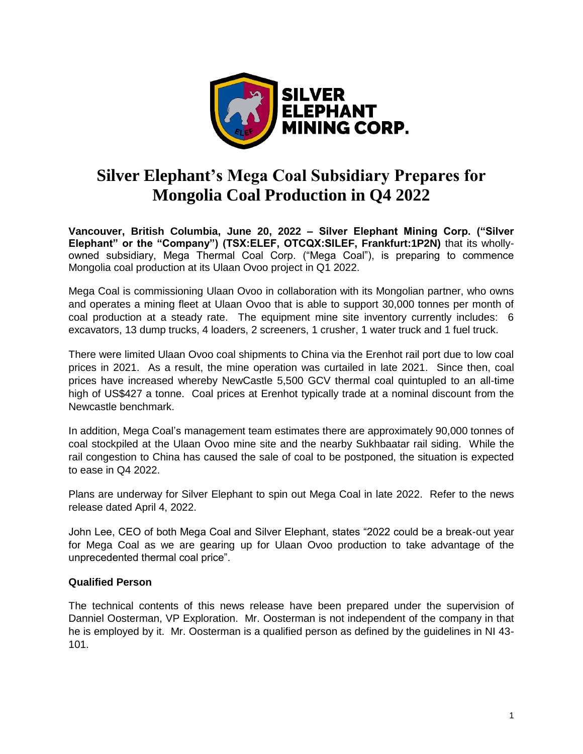

# **Silver Elephant's Mega Coal Subsidiary Prepares for Mongolia Coal Production in Q4 2022**

**Vancouver, British Columbia, June 20, 2022 – Silver Elephant Mining Corp. ("Silver Elephant" or the "Company") (TSX:ELEF, OTCQX:SILEF, Frankfurt:1P2N)** that its whollyowned subsidiary, Mega Thermal Coal Corp. ("Mega Coal"), is preparing to commence Mongolia coal production at its Ulaan Ovoo project in Q1 2022.

Mega Coal is commissioning Ulaan Ovoo in collaboration with its Mongolian partner, who owns and operates a mining fleet at Ulaan Ovoo that is able to support 30,000 tonnes per month of coal production at a steady rate. The equipment mine site inventory currently includes: 6 excavators, 13 dump trucks, 4 loaders, 2 screeners, 1 crusher, 1 water truck and 1 fuel truck.

There were limited Ulaan Ovoo coal shipments to China via the Erenhot rail port due to low coal prices in 2021. As a result, the mine operation was curtailed in late 2021. Since then, coal prices have increased whereby NewCastle 5,500 GCV thermal coal quintupled to an all-time high of US\$427 a tonne. Coal prices at Erenhot typically trade at a nominal discount from the Newcastle benchmark.

In addition, Mega Coal's management team estimates there are approximately 90,000 tonnes of coal stockpiled at the Ulaan Ovoo mine site and the nearby Sukhbaatar rail siding. While the rail congestion to China has caused the sale of coal to be postponed, the situation is expected to ease in Q4 2022.

Plans are underway for Silver Elephant to spin out Mega Coal in late 2022. Refer to the news release dated April 4, 2022.

John Lee, CEO of both Mega Coal and Silver Elephant, states "2022 could be a break-out year for Mega Coal as we are gearing up for Ulaan Ovoo production to take advantage of the unprecedented thermal coal price".

## **Qualified Person**

The technical contents of this news release have been prepared under the supervision of Danniel Oosterman, VP Exploration. Mr. Oosterman is not independent of the company in that he is employed by it. Mr. Oosterman is a qualified person as defined by the guidelines in NI 43- 101.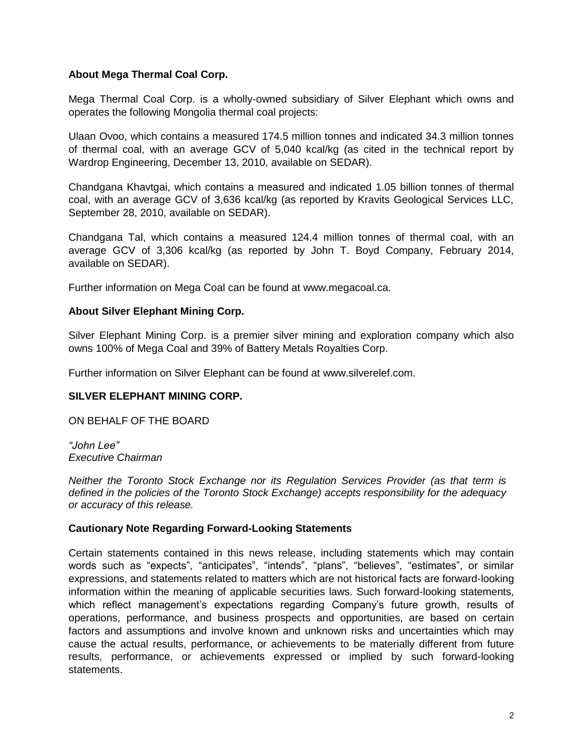## **About Mega Thermal Coal Corp.**

Mega Thermal Coal Corp. is a wholly-owned subsidiary of Silver Elephant which owns and operates the following Mongolia thermal coal projects:

Ulaan Ovoo, which contains a measured 174.5 million tonnes and indicated 34.3 million tonnes of thermal coal, with an average GCV of 5,040 kcal/kg (as cited in the technical report by Wardrop Engineering, December 13, 2010, available on SEDAR).

Chandgana Khavtgai, which contains a measured and indicated 1.05 billion tonnes of thermal coal, with an average GCV of 3,636 kcal/kg (as reported by Kravits Geological Services LLC, September 28, 2010, available on SEDAR).

Chandgana Tal, which contains a measured 124.4 million tonnes of thermal coal, with an average GCV of 3,306 kcal/kg (as reported by John T. Boyd Company, February 2014, available on SEDAR).

Further information on Mega Coal can be found at www.megacoal.ca.

#### **About Silver Elephant Mining Corp.**

Silver Elephant Mining Corp. is a premier silver mining and exploration company which also owns 100% of Mega Coal and 39% of Battery Metals Royalties Corp.

Further information on Silver Elephant can be found at www.silverelef.com.

#### **SILVER ELEPHANT MINING CORP.**

ON BEHALF OF THE BOARD

*"John Lee" Executive Chairman*

*Neither the Toronto Stock Exchange nor its Regulation Services Provider (as that term is defined in the policies of the Toronto Stock Exchange) accepts responsibility for the adequacy or accuracy of this release.*

#### **Cautionary Note Regarding Forward-Looking Statements**

Certain statements contained in this news release, including statements which may contain words such as "expects", "anticipates", "intends", "plans", "believes", "estimates", or similar expressions, and statements related to matters which are not historical facts are forward-looking information within the meaning of applicable securities laws. Such forward-looking statements, which reflect management's expectations regarding Company's future growth, results of operations, performance, and business prospects and opportunities, are based on certain factors and assumptions and involve known and unknown risks and uncertainties which may cause the actual results, performance, or achievements to be materially different from future results, performance, or achievements expressed or implied by such forward-looking statements.